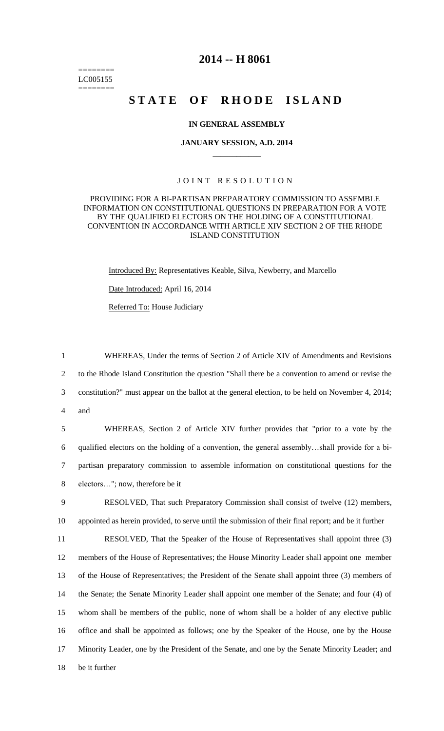======== LC005155 ========

# **2014 -- H 8061**

# **STATE OF RHODE ISLAND**

## **IN GENERAL ASSEMBLY**

#### **JANUARY SESSION, A.D. 2014 \_\_\_\_\_\_\_\_\_\_\_\_**

# JOINT RESOLUTION

## PROVIDING FOR A BI-PARTISAN PREPARATORY COMMISSION TO ASSEMBLE INFORMATION ON CONSTITUTIONAL QUESTIONS IN PREPARATION FOR A VOTE BY THE QUALIFIED ELECTORS ON THE HOLDING OF A CONSTITUTIONAL CONVENTION IN ACCORDANCE WITH ARTICLE XIV SECTION 2 OF THE RHODE ISLAND CONSTITUTION

Introduced By: Representatives Keable, Silva, Newberry, and Marcello Date Introduced: April 16, 2014 Referred To: House Judiciary

 WHEREAS, Under the terms of Section 2 of Article XIV of Amendments and Revisions to the Rhode Island Constitution the question "Shall there be a convention to amend or revise the constitution?" must appear on the ballot at the general election, to be held on November 4, 2014; 4 and

 WHEREAS, Section 2 of Article XIV further provides that "prior to a vote by the qualified electors on the holding of a convention, the general assembly…shall provide for a bi- partisan preparatory commission to assemble information on constitutional questions for the electors…"; now, therefore be it

9 RESOLVED, That such Preparatory Commission shall consist of twelve (12) members, 10 appointed as herein provided, to serve until the submission of their final report; and be it further

 RESOLVED, That the Speaker of the House of Representatives shall appoint three (3) members of the House of Representatives; the House Minority Leader shall appoint one member of the House of Representatives; the President of the Senate shall appoint three (3) members of the Senate; the Senate Minority Leader shall appoint one member of the Senate; and four (4) of whom shall be members of the public, none of whom shall be a holder of any elective public office and shall be appointed as follows; one by the Speaker of the House, one by the House Minority Leader, one by the President of the Senate, and one by the Senate Minority Leader; and be it further